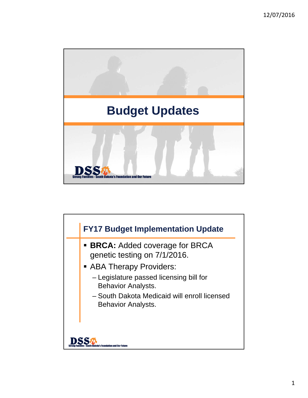

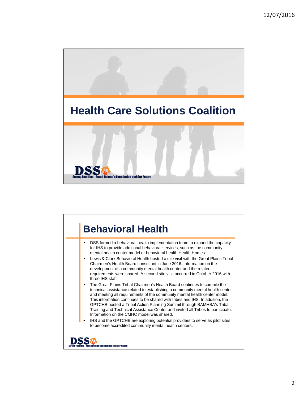